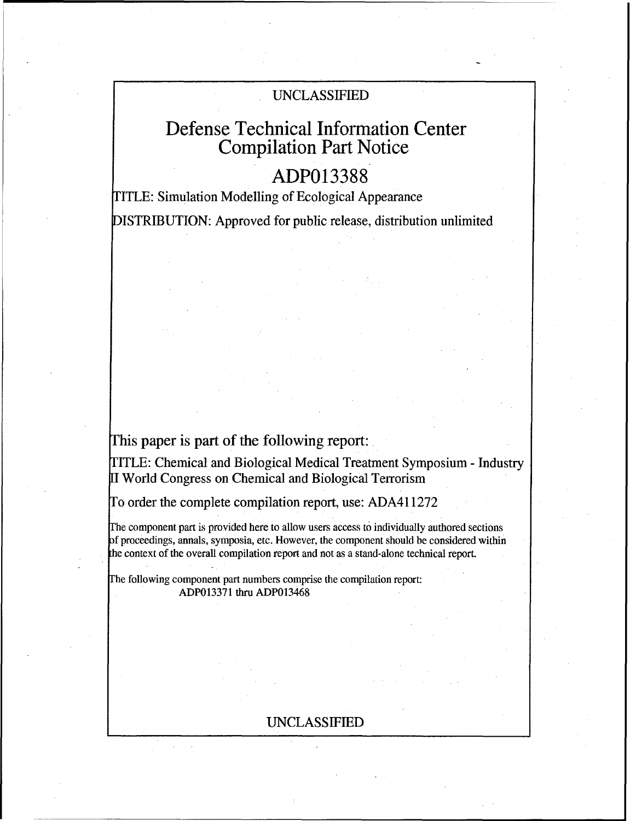## UNCLASSIFIED

# Defense Technical Information Center Compilation Part Notice

## **ADP013388**

TITLE: Simulation Modelling of Ecological Appearance DISTRIBUTION: Approved for public release, distribution unlimited

## This paper is part of the following report:

TITLE: Chemical and Biological Medical Treatment Symposium - Industry I World Congress on Chemical and Biological Terrorism

To order the complete compilation report, use: ADA411272

The component part is provided here to allow users access to individually authored sections f proceedings, annals, symposia, etc. However, the component should be considered within the context of the overall compilation report and not as a stand-alone technical report.

Fhe following component part numbers comprise the compilation report: ADP013371 thru ADP013468

### UNCLASSIFIED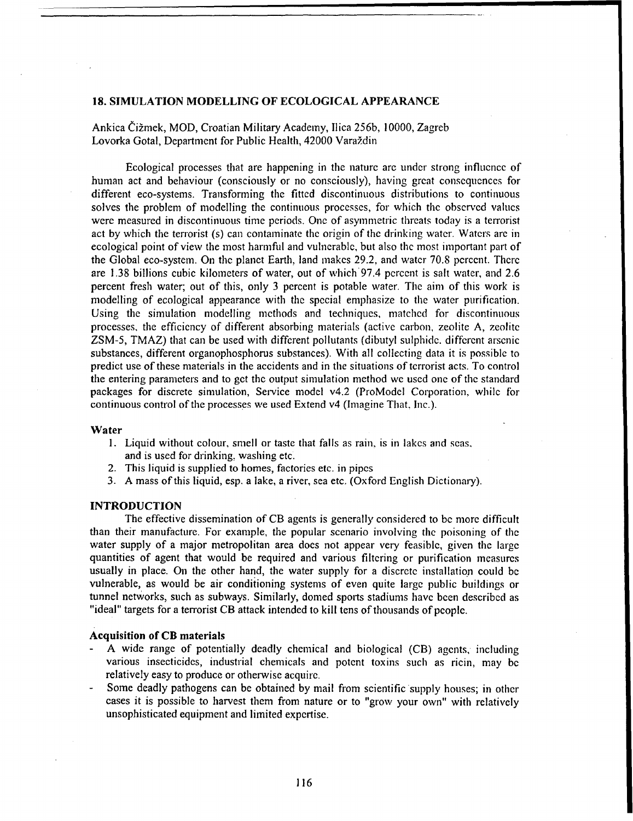#### **18.** SIMULATION **MODELLING** OF **ECOLOGICAL APPEARANCE**

Ankica Čižmek, MOD, Croatian Military Academy, Ilica 256b, 10000, Zagreb Lovorka Gotal, Department for Public Health, 42000 Varaždin

Ecological processes that are happening in the nature arc under strong influence of human act and behaviour (consciously or no consciously), having great consequences for different eco-systems. Transforming the fitted discontinuous distributions to continuous solves the problem of modelling the continuous processes, for which the observed values were measured in discontinuous time periods. One of asymmetric threats today is a terrorist act by which the terrorist (s) can contaminate the origin of the drinking water. Waters are in ecological point of view the most harmfid and vulnerable, but also the most important part of the Global eco-system. On the planet Earth, land makes 29.2, and water 70.8 percent. There are 1.38 billions cubic kilometers of water, out of which 97.4 percent is salt water, and 2.6 percent fresh water; out of this, only 3 percent is potable water. The aim of this work is modelling of ecological appearance with the special emphasize to the water purification. Using the simulation modelling methods and techniques, matched for discontinuous processes, the efficiency of different absorbing materials (active carbon, zeolite A, zeolite ZSM-5, TMAZ) that can be used with different pollutants (dibutyl sulphide. different arsenic substances, different organophosphorus substances). With all collecting data it is possible to predict use of these materials in the accidents and in the situations of terrorist acts. To control the entering parameters and to get the output simulation method we used one of the standard packages for discrete simulation, Service model v4.2 (ProModel Corporation, while for continuous control of the processes we used Extend v4 (Imagine That. Inc.).

#### Water

- 1. Liquid without colour, smell or taste that falls as rain, is in lakes and seas, and is used for drinking, washing etc.
- 2. This liquid is supplied to homes, factories etc. in pipes
- 3. A mass of this liquid, esp. a lake, a river, sea etc. (Oxford English Dictionary).

#### **INTRODUCTION**

The effective dissemination of CB agents is generally considered to be more difficult than their manufacture. For example, the popular scenario involving the poisoning of the water supply of a major metropolitan area does not appear very feasible, given the large quantities of agent that would be required and various filtering or purification measures usually in place. On the other hand, the water supply for a discrete installation could be vulnerable, as would be air conditioning systems of even quite large public buildings or tunnel networks, such as subways. Similarly, domed sports stadiums have been described as "ideal" targets for a terrorist CB attack intended to kill tens of thousands of people.

#### Acquisition of CB materials

- A wide range of potentially deadly chemical and biological (CB) agents, including various insecticides, industrial chemicals and potent toxins such as ricin, may **be** relatively easy to produce or otherwise acquire.
- Some deadly pathogens can be obtained by mail from scientific supply houses; in other cases it is possible to harvest them from nature or to "grow your own" with relatively unsophisticated equipment and limited expertise.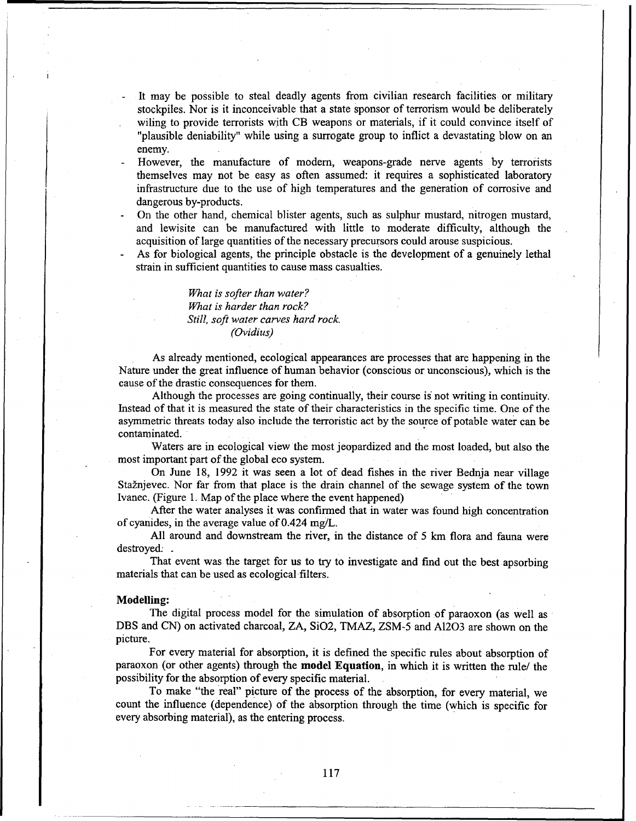- It may be possible to steal deadly agents from civilian research facilities or military stockpiles. Nor is it inconceivable that a state sponsor of terrorism would be deliberately wiling to provide terrorists with CB weapons or materials, if it could convince itself of "plausible deniability" while using a surrogate group to inflict a devastating blow on an enemy.
- However, the manufacture of modem, weapons-grade nerve agents by terrorists themselves may not be easy as often assumed: it requires a sophisticated laboratory infrastructure due to the use of high temperatures and the generation of corrosive and dangerous by-products.
- **-** On the other hand, chemical blister agents, such as sulphur mustard, nitrogen mustard, and lewisite can be manufactured with little to moderate difficulty, although the acquisition of large quantities of the necessary precursors could arouse suspicious.
- **-** As for biological agents, the principle obstacle is the development of a genuinely lethal strain in sufficient quantities to cause mass casualties.

*What is softer than water? What is harder than rock? Still, soft water carves hard rock. (Ovidius)*

As already mentioned, ecological appearances are processes that are happening in the Nature under the great influence of human behavior (conscious or unconscious), which is the cause of the drastic consequences for them.

Although the processes are going continually, their course is not writing in continuity. Instead of that it is measured the state of their characteristics in the specific time. One of the asymmetric threats today also include the terroristic act by the source of potable water can be contaminated.

Waters are in ecological view the most jeopardized and the most loaded, but also the most important part of the global eco system.

On June 18, 1992 it was seen a lot of dead fishes in the river Bednja near village Stažnjevec. Nor far from that place is the drain channel of the sewage system of the town Ivanec. (Figure 1. Map of the place where the event happened)

After the water analyses it was confirmed that in water was found high concentration of cyanides, in the average value of 0.424 mg/L.

All around and downstream the river, in the distance of 5 km flora and fauna were destroyed: .

That event was the target for us to try to investigate and find out the best apsorbing materials that can be used as ecological filters.

#### Modelling:

The digital process model for the simulation of absorption of paraoxon (as well as DBS and CN) on activated charcoal, ZA, SiO2, TMAZ, ZSM-5 and A1203 are shown on the picture.

For every material for absorption, it is defined the specific rules about absorption of paraoxon (or other agents) through the model Equation, in which it is written the rule/ the possibility for the absorption of every specific material.

To make "the real" picture of the process of the absorption, for every material, we count the influence (dependence) of the absorption through the time (which is specific for every absorbing material), as the entering process.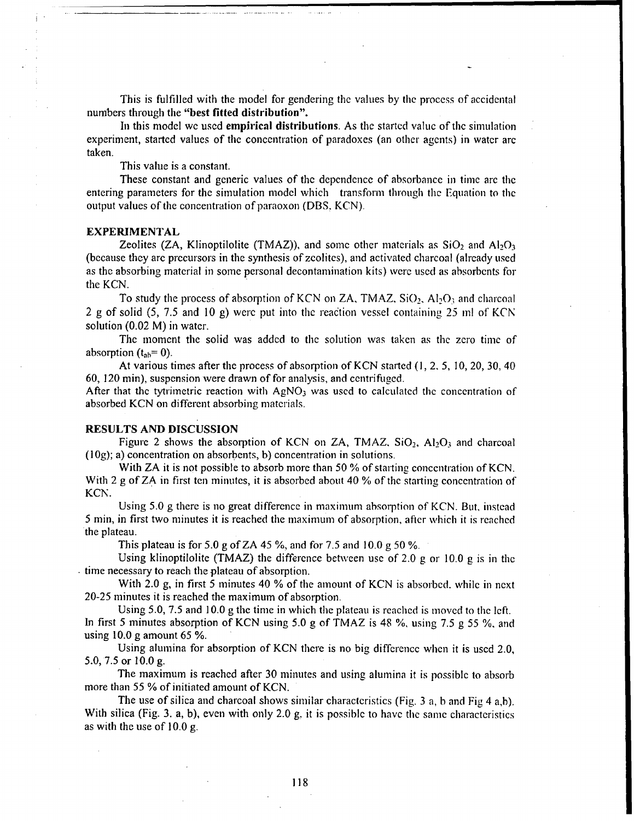This is fulfilled with the model for gendering the values by the process of accidental numbers through the "best fitted distribution".

In this model we used empirical distributions. As the started value of the simulation experiment, started values of the concentration of paradoxes (an other agents) in water arc taken.

This value is a constant.

These constant and generic values of the dependence of absorbance in time arc the entering parameters for the simulation model which transform through the Equation to the output values of the concentration of paraoxon (DBS. KCN).

#### EXPERIMENTAL

Zeolites (ZA, Klinoptilolite (TMAZ)), and some other materials as  $SiO_2$  and  $Al_2O_3$ (because they arc precursors in the synthesis of zcolites), and activated charcoal (already used as the absorbing material in some personal decontamination kits) were used as absorbents for the KCN.

To study the process of absorption of KCN on ZA, TMAZ, SiO,, **A1203** and charcoal 2 g of solid  $(5, 7.5 \text{ and } 10 \text{ g})$  were put into the reaction vessel containing 25 ml of KCN solution (0.02 M) in water.

The moment the solid was added to the solution was taken as the zero time of absorption  $(t_{ab}=0)$ .

At various times after the process of absorption of KCN started (I, 2, 5, **10,** 20, 30, 40 60, 120 min), suspension were drawn of for analysis, and centrifuged.

After that the tytrimetric reaction with  $AgNO<sub>3</sub>$  was used to calculated the concentration of absorbed KCN on different absorbing materials.

#### **RESULTS AND DISCUSSION**

Figure 2 shows the absorption of KCN on ZA, TMAZ, SiO<sub>2</sub>, Al<sub>2</sub>O<sub>3</sub> and charcoal **(10g);** a) concentration on absorbents, b) concentration in solutions.

With ZA it is not possible to absorb more than 50 % of starting concentration of KCN. With 2 g of ZA in first ten minutes, it is absorbed about 40 % of the starting concentration of KCN.

Using 5.0 g there is no great difference in maximum absorption of KCN. But, instead 5 nin, in first two minutes it is reached the maximum of absorption, after which it is reached the plateau.

This plateau is for 5.0 g of ZA 45 **%,** and for 7.5 and 10.0 g 50 *%.*

Using klinoptilolite (TMAZ) the difference between use of 2.0 g or 10.0 g is in the time necessary to reach the plateau of absorption.

With 2.0 g, in first 5 minutes 40 % of the amount of KCN is absorbed. while in next 20-25 minutes it is reached the maximum of absorption.

Using 5.0, 7.5 and 10.0 g the time in which the plateau is reached is moved to the left. In first 5 minutes absorption of KCN using 5.0 g of TMAZ is 48 **%,** using 7.5 g 55 **%,** and using  $10.0$  g amount 65 %.

Using alumina for absorption of KCN there is no big difference when it is used 2.0, 5.0, 7.5 or 10.0 g.

The maximum is reached after 30 minutes and using alumina it is possible to absorb more than 55 % of initiated amount of KCN.

The use of silica and charcoal shows similar characteristics (Fig. 3 a. b and Fig 4 a,b). With silica (Fig. 3. a, b), even with only 2.0 g, it is possible to have the same characteristics as with the use of 10.0 g.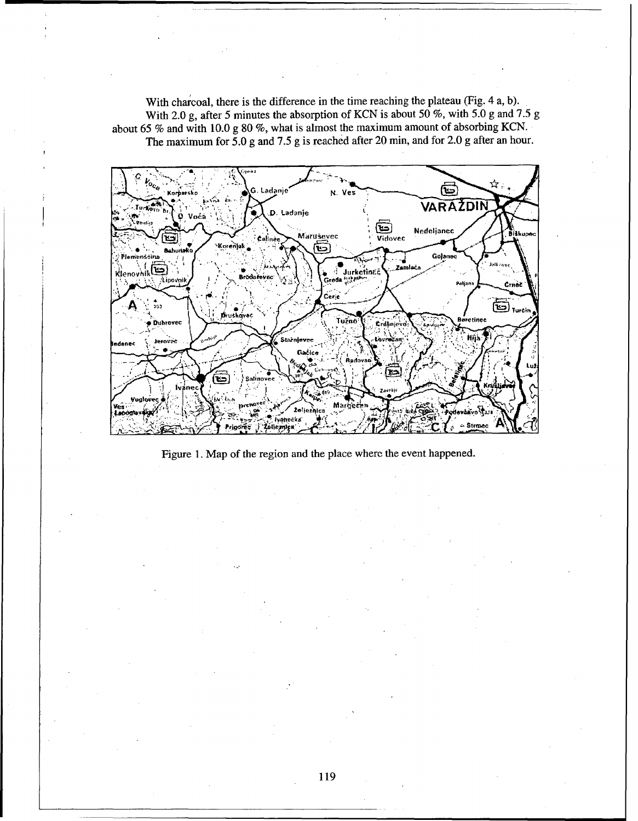With charcoal, there is the difference in the time reaching the plateau (Fig. 4 a, b). With 2.0 g, after 5 minutes the absorption of KCN is about 50 %, with 5.0 g and 7.5 g about 65 % and with 10.0 g 80 %, what is almost the maximum amount of absorbing KCN. The maximum for  $5.0$  g and 7.5 g is reached after 20 min, and for 2.0 g after an hour.



Figure 1. Map of the region and the place where the event happened.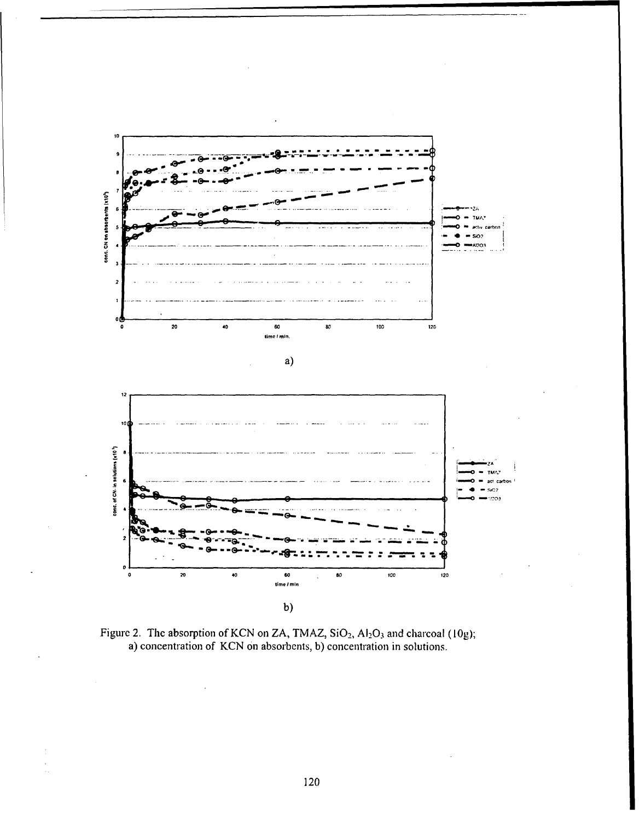

Figure 2. The absorption of KCN on ZA, TMAZ, SiO<sub>2</sub>, Al<sub>2</sub>O<sub>3</sub> and charcoal (10g); a) concentration of KCN on absorbents, b) concentration in solutions.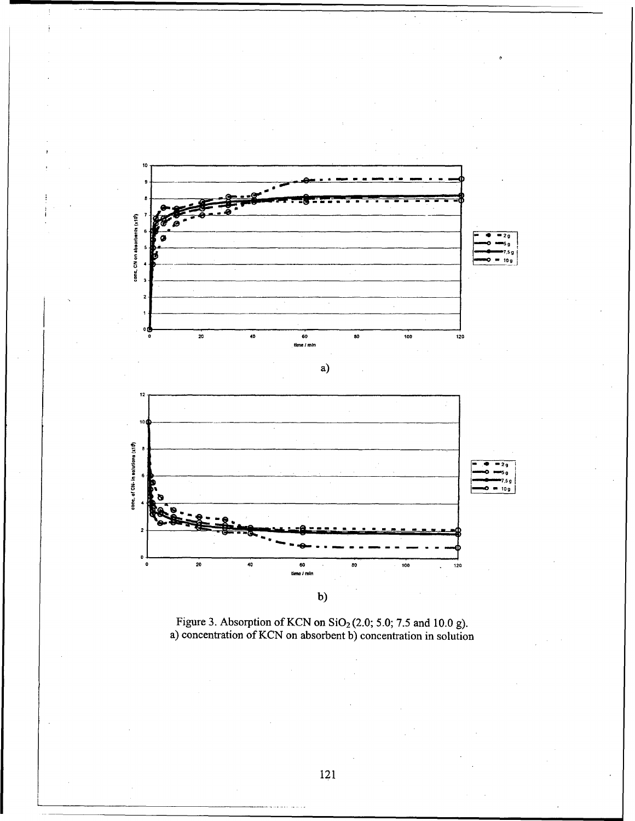

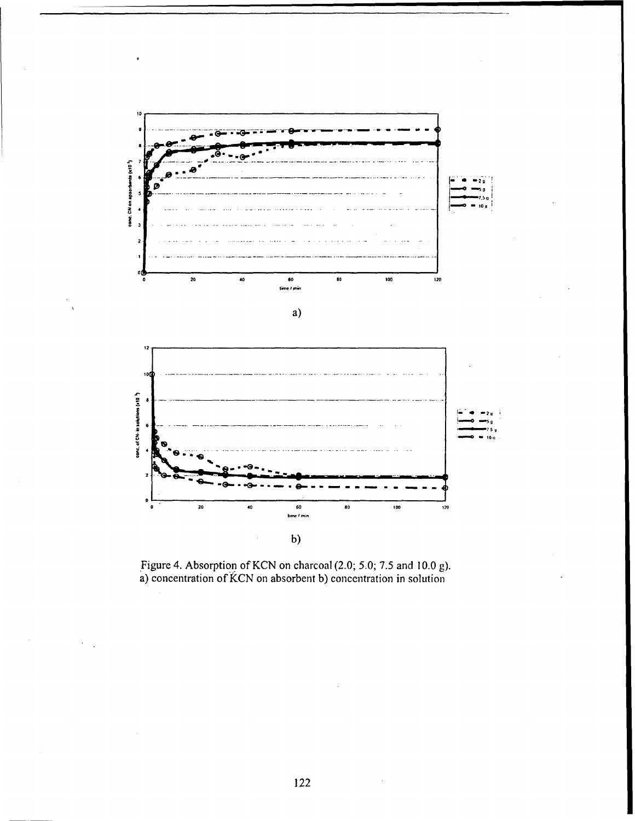

Figure 4. Absorption of KCN on charcoal (2.0; 5.0; 7.5 and 10.0 g).<br>a) concentration of KCN on absorbent b) concentration in solution